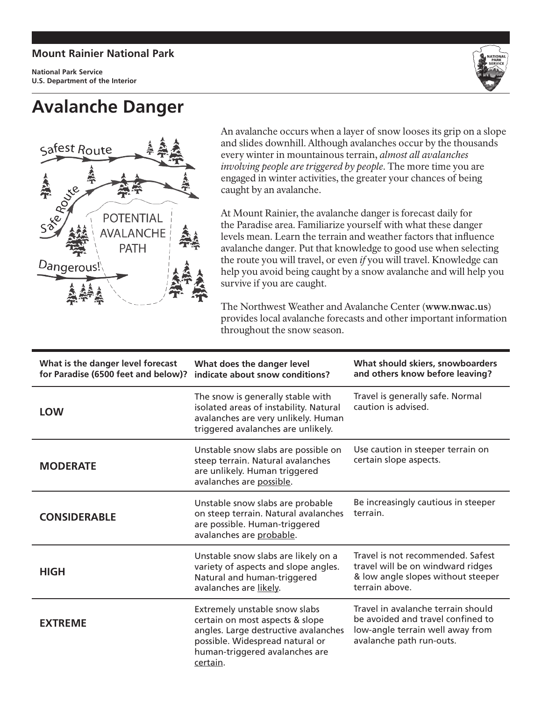## **Mount Rainier National Park**

**National Park Service U.S. Department of the Interior**

## **Avalanche Danger**





An avalanche occurs when a layer of snow looses its grip on a slope and slides downhill. Although avalanches occur by the thousands every winter in mountainous terrain, *almost all avalanches involving people are triggered by people.* The more time you are engaged in winter activities, the greater your chances of being caught by an avalanche.

At Mount Rainier, the avalanche danger is forecast daily for the Paradise area. Familiarize yourself with what these danger levels mean. Learn the terrain and weather factors that influence avalanche danger. Put that knowledge to good use when selecting the route you will travel, or even *if* you will travel. Knowledge can help you avoid being caught by a snow avalanche and will help you survive if you are caught.

The Northwest Weather and Avalanche Center (**www.nwac.us**) provides local avalanche forecasts and other important information throughout the snow season.

| What is the danger level forecast<br>for Paradise (6500 feet and below)? | What does the danger level<br>indicate about snow conditions?                                                                                                                             | What should skiers, snowboarders<br>and others know before leaving?                                                                     |
|--------------------------------------------------------------------------|-------------------------------------------------------------------------------------------------------------------------------------------------------------------------------------------|-----------------------------------------------------------------------------------------------------------------------------------------|
| <b>LOW</b>                                                               | The snow is generally stable with<br>isolated areas of instability. Natural<br>avalanches are very unlikely. Human<br>triggered avalanches are unlikely.                                  | Travel is generally safe. Normal<br>caution is advised.                                                                                 |
| <b>MODERATE</b>                                                          | Unstable snow slabs are possible on<br>steep terrain. Natural avalanches<br>are unlikely. Human triggered<br>avalanches are possible.                                                     | Use caution in steeper terrain on<br>certain slope aspects.                                                                             |
| <b>CONSIDERABLE</b>                                                      | Unstable snow slabs are probable<br>on steep terrain. Natural avalanches<br>are possible. Human-triggered<br>avalanches are probable.                                                     | Be increasingly cautious in steeper<br>terrain.                                                                                         |
| <b>HIGH</b>                                                              | Unstable snow slabs are likely on a<br>variety of aspects and slope angles.<br>Natural and human-triggered<br>avalanches are likely.                                                      | Travel is not recommended. Safest<br>travel will be on windward ridges<br>& low angle slopes without steeper<br>terrain above.          |
| <b>EXTREME</b>                                                           | Extremely unstable snow slabs<br>certain on most aspects & slope<br>angles. Large destructive avalanches<br>possible. Widespread natural or<br>human-triggered avalanches are<br>certain. | Travel in avalanche terrain should<br>be avoided and travel confined to<br>low-angle terrain well away from<br>avalanche path run-outs. |